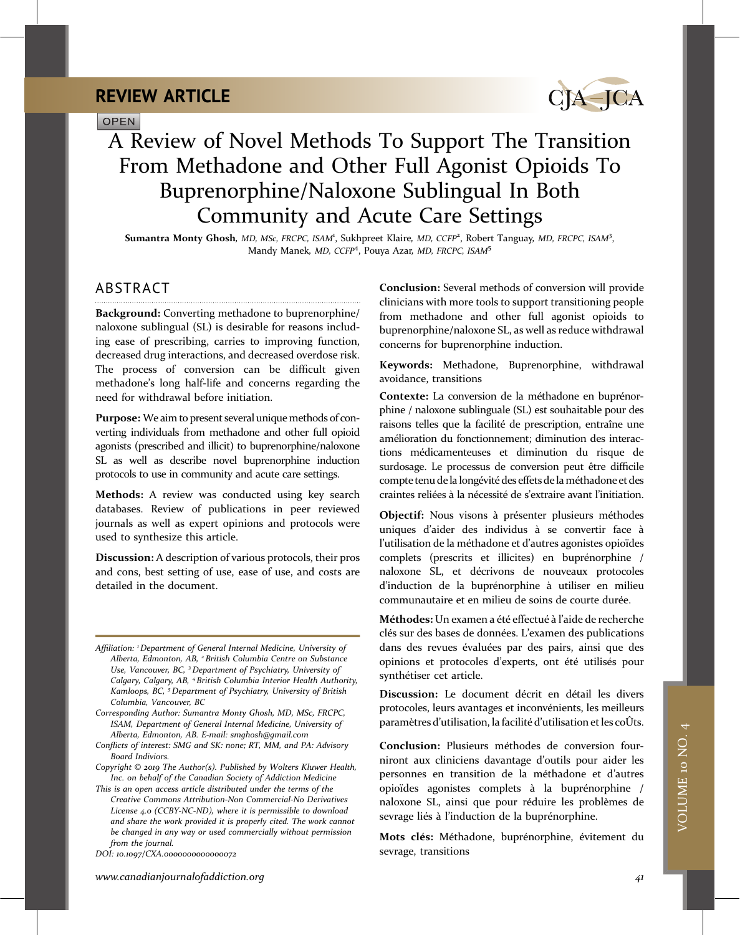**OPEN** 



# A Review of Novel Methods To Support The Transition From Methadone and Other Full Agonist Opioids To Buprenorphine/Naloxone Sublingual In Both Community and Acute Care Settings

Sumantra Monty Ghosh, MD, MSc, FRCPC, ISAM<sup>1</sup>, Sukhpreet Klaire, MD, CCFP<sup>2</sup>, Robert Tanguay, MD, FRCPC, ISAM<sup>3</sup>, Mandy Manek, *MD, CCFP<sup>4</sup>, Pouya Azar, MD, FRCPC, ISAM<sup>5</sup>* 

### ABSTRACT

Background: Converting methadone to buprenorphine/ naloxone sublingual (SL) is desirable for reasons including ease of prescribing, carries to improving function, decreased drug interactions, and decreased overdose risk. The process of conversion can be difficult given methadone's long half-life and concerns regarding the need for withdrawal before initiation.

Purpose: We aim to present several unique methods of converting individuals from methadone and other full opioid agonists (prescribed and illicit) to buprenorphine/naloxone SL as well as describe novel buprenorphine induction protocols to use in community and acute care settings.

Methods: A review was conducted using key search databases. Review of publications in peer reviewed journals as well as expert opinions and protocols were used to synthesize this article.

Discussion: A description of various protocols, their pros and cons, best setting of use, ease of use, and costs are detailed in the document.

Affiliation: <sup>1</sup> Department of General Internal Medicine, University of Alberta, Edmonton, AB, <sup>2</sup> British Columbia Centre on Substance Use, Vancouver, BC, <sup>3</sup> Department of Psychiatry, University of Calgary, Calgary, AB, <sup>4</sup> British Columbia Interior Health Authority, Kamloops, BC, <sup>5</sup> Department of Psychiatry, University of British Columbia, Vancouver, BC

Corresponding Author: Sumantra Monty Ghosh, MD, MSc, FRCPC, ISAM, Department of General Internal Medicine, University of Alberta, Edmonton, AB. E-mail: [smghosh@gmail.com](mailto:smghosh@gmail.com)

- Conflicts of interest: SMG and SK: none; RT, MM, and PA: Advisory Board Indiviors.
- Copyright © 2019 The Author(s). Published by Wolters Kluwer Health, Inc. on behalf of the Canadian Society of Addiction Medicine

This is an open access article distributed under the terms of the [Creative Commons Attribution-Non Commercial-No Derivatives](http://creativecommons.org/licenses/by-nc-nd/4.0) [License 4.0](http://creativecommons.org/licenses/by-nc-nd/4.0) (CCBY-NC-ND), where it is permissible to download and share the work provided it is properly cited. The work cannot be changed in any way or used commercially without permission from the journal.

DOI: 10.1097/CXA.0000000000000072

Conclusion: Several methods of conversion will provide clinicians with more tools to support transitioning people from methadone and other full agonist opioids to buprenorphine/naloxone SL, as well as reduce withdrawal concerns for buprenorphine induction.

Keywords: Methadone, Buprenorphine, withdrawal avoidance, transitions

Contexte: La conversion de la méthadone en buprénorphine / naloxone sublinguale (SL) est souhaitable pour des raisons telles que la facilité de prescription, entraîne une amélioration du fonctionnement; diminution des interactions médicamenteuses et diminution du risque de surdosage. Le processus de conversion peut être difficile compte tenu dela longévité des effets de la méthadone et des craintes reliées à la nécessité de s'extraire avant l'initiation.

Objectif: Nous visons à présenter plusieurs méthodes uniques d'aider des individus à se convertir face à l'utilisation de la méthadone et d'autres agonistes opioïdes complets (prescrits et illicites) en buprénorphine / naloxone SL, et décrivons de nouveaux protocoles d'induction de la buprénorphine à utiliser en milieu communautaire et en milieu de soins de courte durée.

Méthodes: Un examen a été effectué à l'aide de recherche clés sur des bases de données. L'examen des publications dans des revues évaluées par des pairs, ainsi que des opinions et protocoles d'experts, ont été utilisés pour synthétiser cet article.

Discussion: Le document décrit en détail les divers protocoles, leurs avantages et inconvénients, les meilleurs paramètres d'utilisation, la facilité d'utilisation et les coÛts.

Conclusion: Plusieurs méthodes de conversion fourniront aux cliniciens davantage d'outils pour aider les personnes en transition de la méthadone et d'autres opioïdes agonistes complets à la buprénorphine / naloxone SL, ainsi que pour réduire les problèmes de sevrage liés à l'induction de la buprénorphine.

Mots clés: Méthadone, buprénorphine, évitement du sevrage, transitions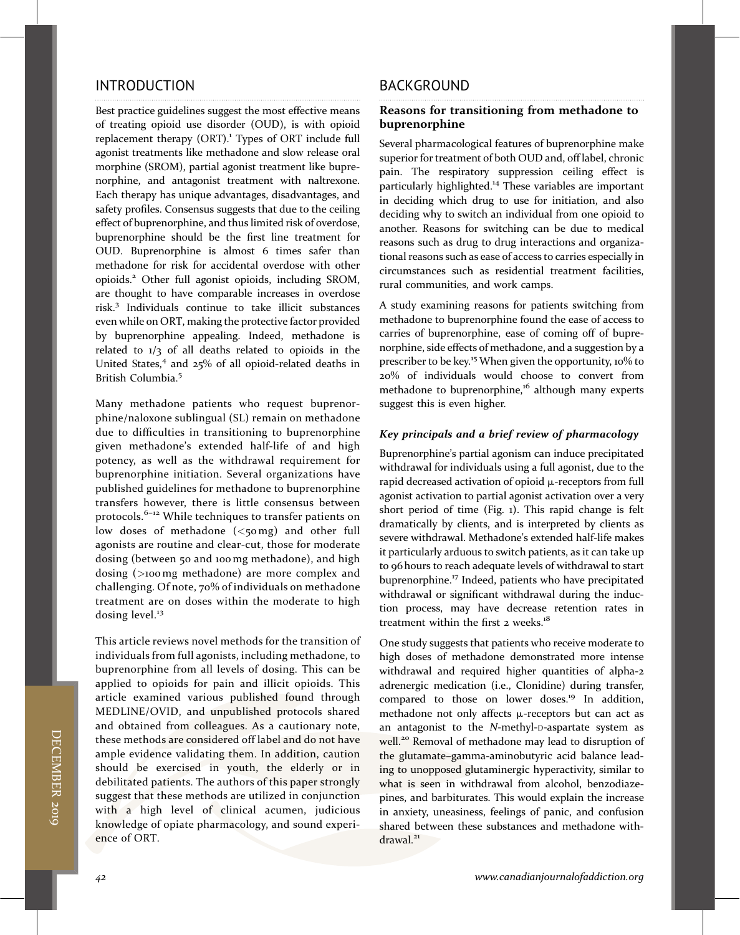### INTRODUCTION

Best practice guidelines suggest the most effective means of treating opioid use disorder (OUD), is with opioid replacement therapy (ORT).<sup>1</sup> Types of ORT include full agonist treatments like methadone and slow release oral morphine (SROM), partial agonist treatment like buprenorphine, and antagonist treatment with naltrexone. Each therapy has unique advantages, disadvantages, and safety profiles. Consensus suggests that due to the ceiling effect of buprenorphine, and thus limited risk of overdose, buprenorphine should be the first line treatment for OUD. Buprenorphine is almost 6 times safer than methadone for risk for accidental overdose with other opioids.2 Other full agonist opioids, including SROM, are thought to have comparable increases in overdose risk.<sup>3</sup> Individuals continue to take illicit substances even while on ORT, making the protective factor provided by buprenorphine appealing. Indeed, methadone is related to 1/3 of all deaths related to opioids in the United States,<sup>4</sup> and 25% of all opioid-related deaths in British Columbia.<sup>5</sup>

Many methadone patients who request buprenorphine/naloxone sublingual (SL) remain on methadone due to difficulties in transitioning to buprenorphine given methadone's extended half-life of and high potency, as well as the withdrawal requirement for buprenorphine initiation. Several organizations have published guidelines for methadone to buprenorphine transfers however, there is little consensus between protocols.6–<sup>12</sup> While techniques to transfer patients on low doses of methadone  $( $\leq$ 0mg) and other full$ agonists are routine and clear-cut, those for moderate dosing (between 50 and 100mg methadone), and high dosing (>100mg methadone) are more complex and challenging. Of note, 70% of individuals on methadone treatment are on doses within the moderate to high dosing level.<sup>13</sup>

This article reviews novel methods for the transition of individuals from full agonists, including methadone, to buprenorphine from all levels of dosing. This can be applied to opioids for pain and illicit opioids. This article examined various published found through MEDLINE/OVID, and unpublished protocols shared and obtained from colleagues. As a cautionary note, these methods are considered off label and do not have ample evidence validating them. In addition, caution should be exercised in youth, the elderly or in debilitated patients. The authors of this paper strongly suggest that these methods are utilized in conjunction with a high level of clinical acumen, judicious knowledge of opiate pharmacology, and sound experience of ORT.

### BACKGROUND

#### Reasons for transitioning from methadone to buprenorphine

Several pharmacological features of buprenorphine make superior for treatment of both OUD and, off label, chronic pain. The respiratory suppression ceiling effect is particularly highlighted.<sup>14</sup> These variables are important in deciding which drug to use for initiation, and also deciding why to switch an individual from one opioid to another. Reasons for switching can be due to medical reasons such as drug to drug interactions and organizational reasons such as ease of access to carries especially in circumstances such as residential treatment facilities, rural communities, and work camps.

A study examining reasons for patients switching from methadone to buprenorphine found the ease of access to carries of buprenorphine, ease of coming off of buprenorphine, side effects of methadone, and a suggestion by a prescriber to be key.<sup>15</sup> When given the opportunity, 10% to 20% of individuals would choose to convert from methadone to buprenorphine,<sup>16</sup> although many experts suggest this is even higher.

#### Key principals and a brief review of pharmacology

Buprenorphine's partial agonism can induce precipitated withdrawal for individuals using a full agonist, due to the rapid decreased activation of opioid  $\mu$ -receptors from full agonist activation to partial agonist activation over a very short period of time (Fig. 1). This rapid change is felt dramatically by clients, and is interpreted by clients as severe withdrawal. Methadone's extended half-life makes it particularly arduous to switch patients, as it can take up to 96 hours to reach adequate levels of withdrawal to start buprenorphine.<sup>17</sup> Indeed, patients who have precipitated withdrawal or significant withdrawal during the induction process, may have decrease retention rates in treatment within the first 2 weeks.<sup>18</sup>

One study suggests that patients who receive moderate to high doses of methadone demonstrated more intense withdrawal and required higher quantities of alpha-2 adrenergic medication (i.e., Clonidine) during transfer, compared to those on lower doses.<sup>19</sup> In addition, methadone not only affects  $\mu$ -receptors but can act as an antagonist to the N-methyl-D-aspartate system as well.<sup>20</sup> Removal of methadone may lead to disruption of the glutamate–gamma-aminobutyric acid balance leading to unopposed glutaminergic hyperactivity, similar to what is seen in withdrawal from alcohol, benzodiazepines, and barbiturates. This would explain the increase in anxiety, uneasiness, feelings of panic, and confusion shared between these substances and methadone withdrawal.<sup>21</sup>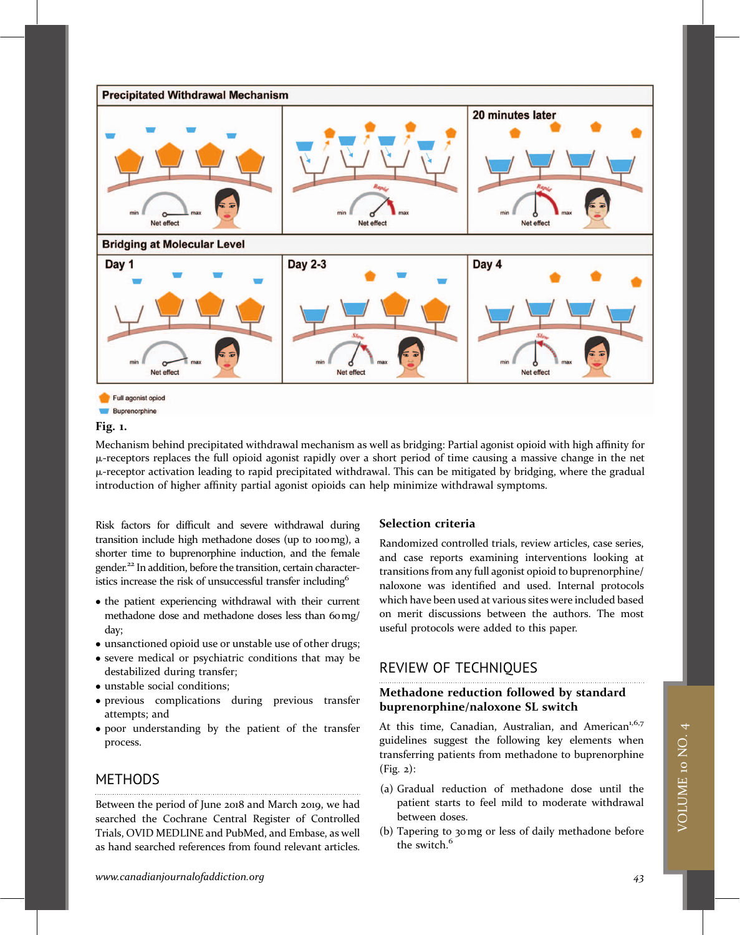

#### Fig. 1.

Mechanism behind precipitated withdrawal mechanism as well as bridging: Partial agonist opioid with high affinity for  $\mu$ -receptors replaces the full opioid agonist rapidly over a short period of time causing a massive change in the net  $\mu$ -receptor activation leading to rapid precipitated withdrawal. This can be mitigated by bridging, where the gradual introduction of higher affinity partial agonist opioids can help minimize withdrawal symptoms.

Risk factors for difficult and severe withdrawal during transition include high methadone doses (up to 100mg), a shorter time to buprenorphine induction, and the female gender.<sup>22</sup> In addition, before the transition, certain characteristics increase the risk of unsuccessful transfer including<sup>6</sup>

- the patient experiencing withdrawal with their current methadone dose and methadone doses less than 60mg/ day;
- unsanctioned opioid use or unstable use of other drugs;
- severe medical or psychiatric conditions that may be destabilized during transfer;
- unstable social conditions;
- previous complications during previous transfer attempts; and
- poor understanding by the patient of the transfer process.

### **METHODS**

Between the period of June 2018 and March 2019, we had searched the Cochrane Central Register of Controlled Trials, OVID MEDLINE and PubMed, and Embase, as well as hand searched references from found relevant articles.

#### Selection criteria

Randomized controlled trials, review articles, case series, and case reports examining interventions looking at transitions from any full agonist opioid to buprenorphine/ naloxone was identified and used. Internal protocols which have been used at various sites were included based on merit discussions between the authors. The most useful protocols were added to this paper.

### REVIEW OF TECHNIQUES

### Methadone reduction followed by standard buprenorphine/naloxone SL switch

At this time, Canadian, Australian, and American<sup>1,6,7</sup> guidelines suggest the following key elements when transferring patients from methadone to buprenorphine (Fig. 2):

- (a) Gradual reduction of methadone dose until the patient starts to feel mild to moderate withdrawal between doses.
- (b) Tapering to 30mg or less of daily methadone before the switch.<sup>6</sup>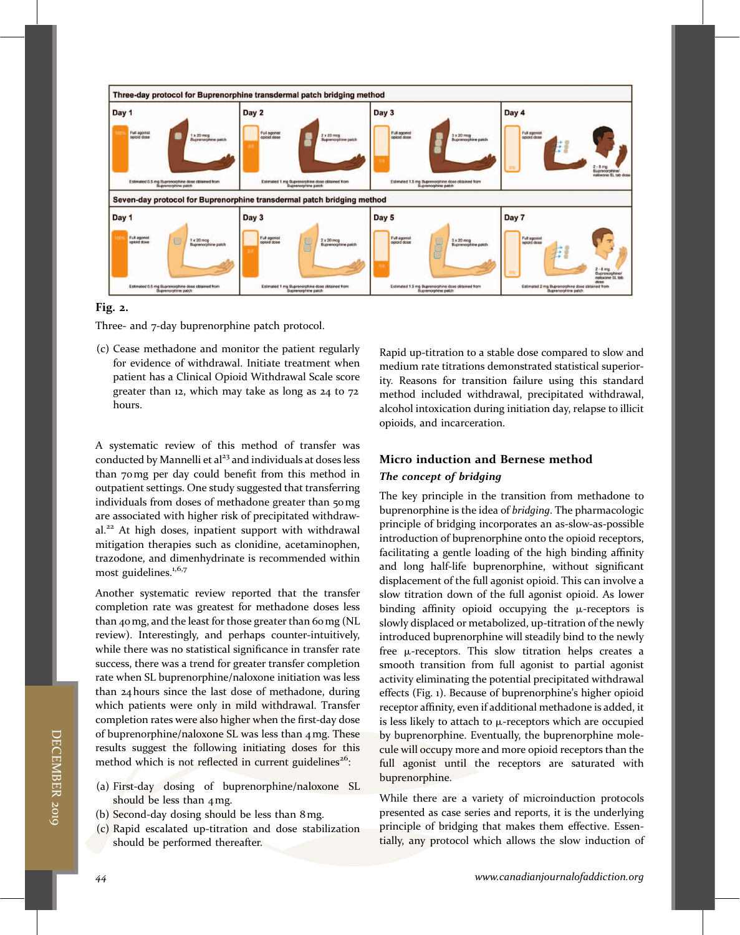

#### Fig. 2.

Three- and 7-day buprenorphine patch protocol.

(c) Cease methadone and monitor the patient regularly for evidence of withdrawal. Initiate treatment when patient has a Clinical Opioid Withdrawal Scale score greater than 12, which may take as long as 24 to 72 hours.

A systematic review of this method of transfer was conducted by Mannelli et al<sup>23</sup> and individuals at doses less than 70mg per day could benefit from this method in outpatient settings. One study suggested that transferring individuals from doses of methadone greater than 50 mg are associated with higher risk of precipitated withdrawal.<sup>22</sup> At high doses, inpatient support with withdrawal mitigation therapies such as clonidine, acetaminophen, trazodone, and dimenhydrinate is recommended within most guidelines.<sup>1,6,7</sup>

Another systematic review reported that the transfer completion rate was greatest for methadone doses less than 40mg, and the least for those greater than 60mg (NL review). Interestingly, and perhaps counter-intuitively, while there was no statistical significance in transfer rate success, there was a trend for greater transfer completion rate when SL buprenorphine/naloxone initiation was less than 24 hours since the last dose of methadone, during which patients were only in mild withdrawal. Transfer completion rates were also higher when the first-day dose of buprenorphine/naloxone SL was less than 4mg. These results suggest the following initiating doses for this method which is not reflected in current guidelines<sup>26</sup>:

- (a) First-day dosing of buprenorphine/naloxone SL should be less than 4mg.
- (b) Second-day dosing should be less than 8mg.
- (c) Rapid escalated up-titration and dose stabilization should be performed thereafter.

Rapid up-titration to a stable dose compared to slow and medium rate titrations demonstrated statistical superiority. Reasons for transition failure using this standard method included withdrawal, precipitated withdrawal, alcohol intoxication during initiation day, relapse to illicit opioids, and incarceration.

### Micro induction and Bernese method The concept of bridging

The key principle in the transition from methadone to buprenorphine is the idea of bridging. The pharmacologic principle of bridging incorporates an as-slow-as-possible introduction of buprenorphine onto the opioid receptors, facilitating a gentle loading of the high binding affinity and long half-life buprenorphine, without significant displacement of the full agonist opioid. This can involve a slow titration down of the full agonist opioid. As lower binding affinity opioid occupying the  $\mu$ -receptors is slowly displaced or metabolized, up-titration of the newly introduced buprenorphine will steadily bind to the newly free  $\mu$ -receptors. This slow titration helps creates a smooth transition from full agonist to partial agonist activity eliminating the potential precipitated withdrawal effects (Fig. 1). Because of buprenorphine's higher opioid receptor affinity, even if additional methadone is added, it is less likely to attach to  $\mu$ -receptors which are occupied by buprenorphine. Eventually, the buprenorphine molecule will occupy more and more opioid receptors than the full agonist until the receptors are saturated with buprenorphine.

While there are a variety of microinduction protocols presented as case series and reports, it is the underlying principle of bridging that makes them effective. Essentially, any protocol which allows the slow induction of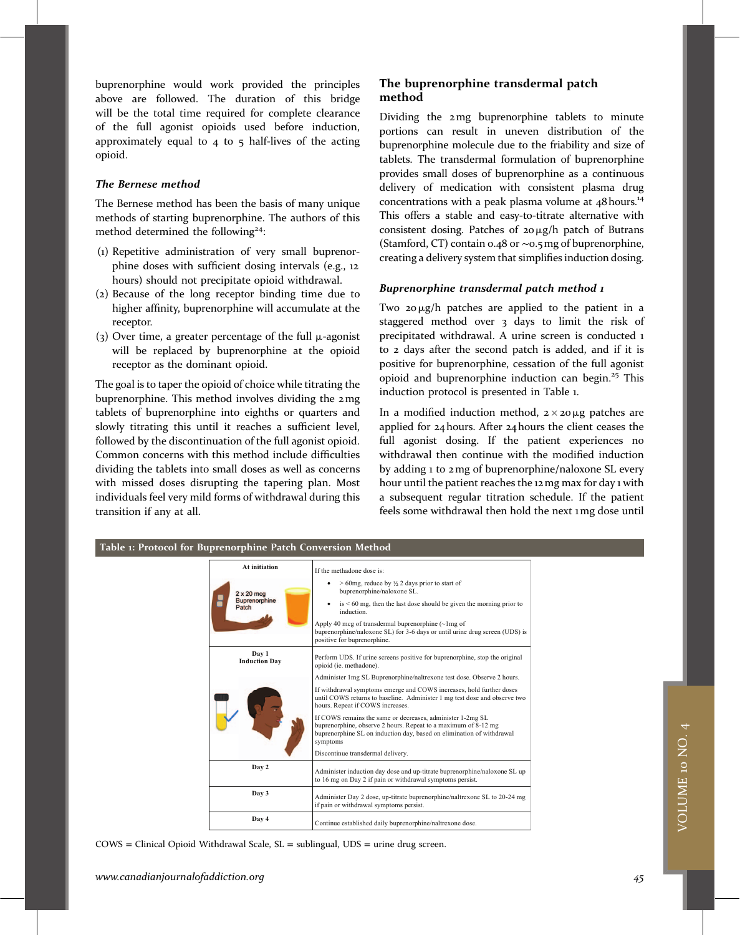buprenorphine would work provided the principles above are followed. The duration of this bridge will be the total time required for complete clearance of the full agonist opioids used before induction, approximately equal to  $4$  to  $5$  half-lives of the acting opioid.

#### The Bernese method

The Bernese method has been the basis of many unique methods of starting buprenorphine. The authors of this method determined the following<sup>24</sup>:

- (1) Repetitive administration of very small buprenorphine doses with sufficient dosing intervals (e.g., 12 hours) should not precipitate opioid withdrawal.
- (2) Because of the long receptor binding time due to higher affinity, buprenorphine will accumulate at the receptor.
- (3) Over time, a greater percentage of the full  $\mu$ -agonist will be replaced by buprenorphine at the opioid receptor as the dominant opioid.

The goal is to taper the opioid of choice while titrating the buprenorphine. This method involves dividing the 2mg tablets of buprenorphine into eighths or quarters and slowly titrating this until it reaches a sufficient level, followed by the discontinuation of the full agonist opioid. Common concerns with this method include difficulties dividing the tablets into small doses as well as concerns with missed doses disrupting the tapering plan. Most individuals feel very mild forms of withdrawal during this transition if any at all.

#### The buprenorphine transdermal patch method

Dividing the 2mg buprenorphine tablets to minute portions can result in uneven distribution of the buprenorphine molecule due to the friability and size of tablets. The transdermal formulation of buprenorphine provides small doses of buprenorphine as a continuous delivery of medication with consistent plasma drug concentrations with a peak plasma volume at  $48$  hours.<sup>14</sup> This offers a stable and easy-to-titrate alternative with consistent dosing. Patches of  $20 \mu g/h$  patch of Butrans (Stamford, CT) contain 0.48 or ∼0.5mg of buprenorphine, creating a delivery system that simplifies induction dosing.

#### Buprenorphine transdermal patch method 1

Two  $20 \mu g/h$  patches are applied to the patient in a staggered method over 3 days to limit the risk of precipitated withdrawal. A urine screen is conducted 1 to 2 days after the second patch is added, and if it is positive for buprenorphine, cessation of the full agonist opioid and buprenorphine induction can begin.<sup>25</sup> This induction protocol is presented in Table 1.

In a modified induction method,  $2 \times 20 \mu$ g patches are applied for 24 hours. After 24 hours the client ceases the full agonist dosing. If the patient experiences no withdrawal then continue with the modified induction by adding 1 to 2mg of buprenorphine/naloxone SL every hour until the patient reaches the 12mg max for day 1 with a subsequent regular titration schedule. If the patient feels some withdrawal then hold the next 1mg dose until

#### Table 1: Protocol for Buprenorphine Patch Conversion Method

| At initiation                 | If the methadone dose is:                                                                                                                                                                                         |  |  |  |
|-------------------------------|-------------------------------------------------------------------------------------------------------------------------------------------------------------------------------------------------------------------|--|--|--|
| $2 \times 20$ mcg             | $>$ 60mg, reduce by $\frac{1}{2}$ 2 days prior to start of<br>buprenorphine/naloxone SL.                                                                                                                          |  |  |  |
| <b>Buprenorphine</b><br>Patch | $is < 60$ mg, then the last dose should be given the morning prior to<br>induction.                                                                                                                               |  |  |  |
|                               | Apply 40 mcg of transdermal buprenorphine $(\sim 1$ mg of<br>buprenorphine/naloxone SL) for 3-6 days or until urine drug screen (UDS) is<br>positive for buprenorphine.                                           |  |  |  |
| Day 1<br><b>Induction Day</b> | Perform UDS. If urine screens positive for buprenorphine, stop the original<br>opioid (ie. methadone).                                                                                                            |  |  |  |
|                               | Administer 1 mg SL Buprenorphine/naltrexone test dose. Observe 2 hours.                                                                                                                                           |  |  |  |
|                               | If withdrawal symptoms emerge and COWS increases, hold further doses<br>until COWS returns to baseline. Administer 1 mg test dose and observe two<br>hours. Repeat if COWS increases.                             |  |  |  |
|                               | If COWS remains the same or decreases, administer 1-2mg SL<br>buprenorphine, observe 2 hours. Repeat to a maximum of 8-12 mg<br>buprenorphine SL on induction day, based on elimination of withdrawal<br>symptoms |  |  |  |
|                               | Discontinue transdermal delivery.                                                                                                                                                                                 |  |  |  |
| Day 2                         | Administer induction day dose and up-titrate buprenorphine/naloxone SL up<br>to 16 mg on Day 2 if pain or withdrawal symptoms persist.                                                                            |  |  |  |
| Day 3                         | Administer Day 2 dose, up-titrate buprenorphine/naltrexone SL to 20-24 mg<br>if pain or withdrawal symptoms persist.                                                                                              |  |  |  |
| Day 4                         | Continue established daily buprenorphine/naltrexone dose.                                                                                                                                                         |  |  |  |

COWS = Clinical Opioid Withdrawal Scale, SL = sublingual, UDS = urine drug screen.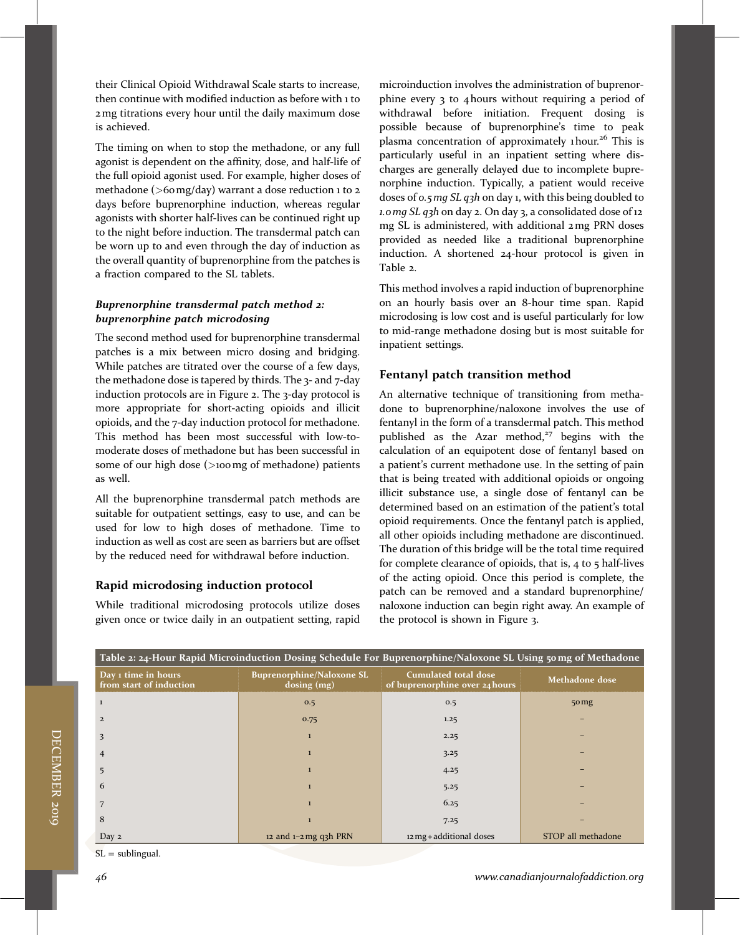their Clinical Opioid Withdrawal Scale starts to increase, then continue with modified induction as before with 1 to 2mg titrations every hour until the daily maximum dose is achieved.

The timing on when to stop the methadone, or any full agonist is dependent on the affinity, dose, and half-life of the full opioid agonist used. For example, higher doses of methadone (>60 mg/day) warrant a dose reduction 1 to 2 days before buprenorphine induction, whereas regular agonists with shorter half-lives can be continued right up to the night before induction. The transdermal patch can be worn up to and even through the day of induction as the overall quantity of buprenorphine from the patches is a fraction compared to the SL tablets.

#### Buprenorphine transdermal patch method 2: buprenorphine patch microdosing

The second method used for buprenorphine transdermal patches is a mix between micro dosing and bridging. While patches are titrated over the course of a few days, the methadone dose is tapered by thirds. The 3- and 7-day induction protocols are in Figure 2. The 3-day protocol is more appropriate for short-acting opioids and illicit opioids, and the 7-day induction protocol for methadone. This method has been most successful with low-tomoderate doses of methadone but has been successful in some of our high dose (>100mg of methadone) patients as well.

All the buprenorphine transdermal patch methods are suitable for outpatient settings, easy to use, and can be used for low to high doses of methadone. Time to induction as well as cost are seen as barriers but are offset by the reduced need for withdrawal before induction.

### Rapid microdosing induction protocol

While traditional microdosing protocols utilize doses given once or twice daily in an outpatient setting, rapid microinduction involves the administration of buprenorphine every 3 to 4 hours without requiring a period of withdrawal before initiation. Frequent dosing is possible because of buprenorphine's time to peak plasma concentration of approximately 1 hour.<sup>26</sup> This is particularly useful in an inpatient setting where discharges are generally delayed due to incomplete buprenorphine induction. Typically, a patient would receive doses of 0.5mg SL q3h on day 1, with this being doubled to 1.0mg SL q3h on day 2. On day 3, a consolidated dose of 12 mg SL is administered, with additional 2mg PRN doses provided as needed like a traditional buprenorphine induction. A shortened 24-hour protocol is given in Table 2.

This method involves a rapid induction of buprenorphine on an hourly basis over an 8-hour time span. Rapid microdosing is low cost and is useful particularly for low to mid-range methadone dosing but is most suitable for inpatient settings.

### Fentanyl patch transition method

An alternative technique of transitioning from methadone to buprenorphine/naloxone involves the use of fentanyl in the form of a transdermal patch. This method published as the Azar method, $27$  begins with the calculation of an equipotent dose of fentanyl based on a patient's current methadone use. In the setting of pain that is being treated with additional opioids or ongoing illicit substance use, a single dose of fentanyl can be determined based on an estimation of the patient's total opioid requirements. Once the fentanyl patch is applied, all other opioids including methadone are discontinued. The duration of this bridge will be the total time required for complete clearance of opioids, that is, 4 to 5 half-lives of the acting opioid. Once this period is complete, the patch can be removed and a standard buprenorphine/ naloxone induction can begin right away. An example of the protocol is shown in Figure 3.

| Table 2: 24-Hour Rapid Microinduction Dosing Schedule For Buprenorphine/Naloxone SL Using 50 mg of Methadone |                                                   |                                                               |                    |  |  |  |  |  |  |  |
|--------------------------------------------------------------------------------------------------------------|---------------------------------------------------|---------------------------------------------------------------|--------------------|--|--|--|--|--|--|--|
| Day 1 time in hours<br>from start of induction                                                               | <b>Buprenorphine/Naloxone SL</b><br>$dosing$ (mg) | <b>Cumulated total dose</b><br>of buprenorphine over 24 hours | Methadone dose     |  |  |  |  |  |  |  |
|                                                                                                              | 0.5                                               | 0.5                                                           | 50 <sub>mg</sub>   |  |  |  |  |  |  |  |
| $\overline{2}$                                                                                               | 0.75                                              | 1.25                                                          |                    |  |  |  |  |  |  |  |
| 3                                                                                                            | $\mathbf{1}$                                      | 2.25                                                          |                    |  |  |  |  |  |  |  |
| 4                                                                                                            | $\mathbf{1}$                                      | 3.25                                                          |                    |  |  |  |  |  |  |  |
|                                                                                                              |                                                   | 4.25                                                          |                    |  |  |  |  |  |  |  |
| 6                                                                                                            |                                                   | 5.25                                                          |                    |  |  |  |  |  |  |  |
|                                                                                                              |                                                   | 6.25                                                          |                    |  |  |  |  |  |  |  |
| 8                                                                                                            |                                                   | 7.25                                                          |                    |  |  |  |  |  |  |  |
| Day 2                                                                                                        | 12 and $1-2$ mg q3h PRN                           | 12 mg + additional doses                                      | STOP all methadone |  |  |  |  |  |  |  |

 $SL =$  sublingual.

DECEMBER

2019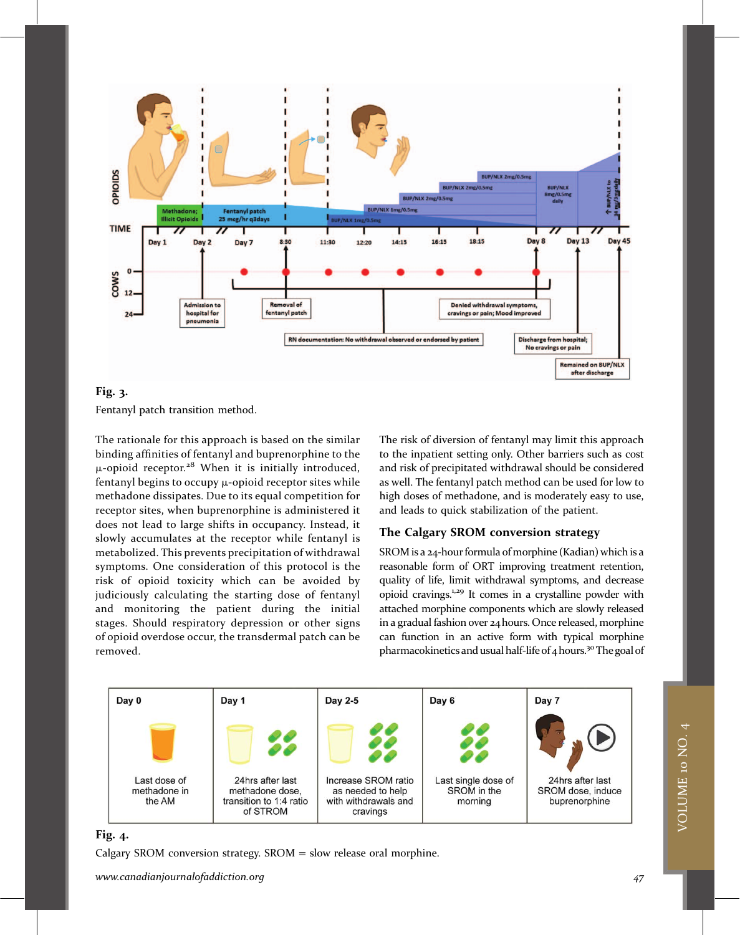

#### Fig. 3.

Fentanyl patch transition method.

The rationale for this approach is based on the similar binding affinities of fentanyl and buprenorphine to the  $\mu$ -opioid receptor.<sup>28</sup> When it is initially introduced, fentanyl begins to occupy  $\mu$ -opioid receptor sites while methadone dissipates. Due to its equal competition for receptor sites, when buprenorphine is administered it does not lead to large shifts in occupancy. Instead, it slowly accumulates at the receptor while fentanyl is metabolized. This prevents precipitation of withdrawal symptoms. One consideration of this protocol is the risk of opioid toxicity which can be avoided by judiciously calculating the starting dose of fentanyl and monitoring the patient during the initial stages. Should respiratory depression or other signs of opioid overdose occur, the transdermal patch can be removed.

The risk of diversion of fentanyl may limit this approach to the inpatient setting only. Other barriers such as cost and risk of precipitated withdrawal should be considered as well. The fentanyl patch method can be used for low to high doses of methadone, and is moderately easy to use, and leads to quick stabilization of the patient.

### The Calgary SROM conversion strategy

SROM is a 24-hour formula of morphine (Kadian) which is a reasonable form of ORT improving treatment retention, quality of life, limit withdrawal symptoms, and decrease opioid cravings.1,29 It comes in a crystalline powder with attached morphine components which are slowly released in a gradual fashion over 24hours. Once released, morphine can function in an active form with typical morphine pharmacokinetics and usual half-life of 4 hours.<sup>30</sup> The goal of



#### Fig. 4.

Calgary SROM conversion strategy.  $SROM =$  slow release oral morphine.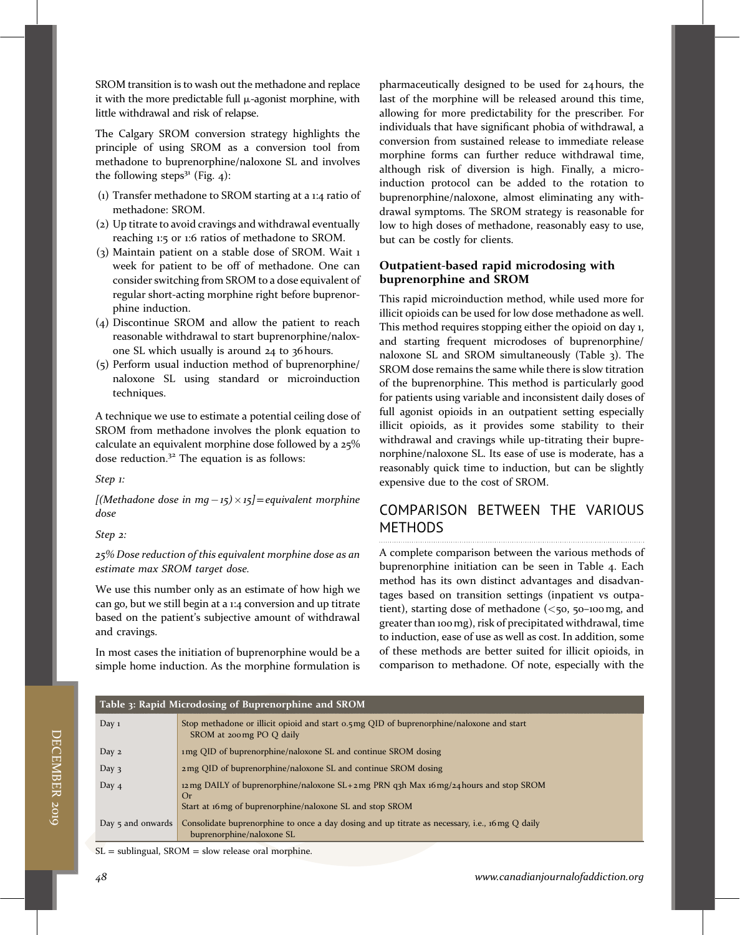SROM transition is to wash out the methadone and replace it with the more predictable full  $\mu$ -agonist morphine, with little withdrawal and risk of relapse.

The Calgary SROM conversion strategy highlights the principle of using SROM as a conversion tool from methadone to buprenorphine/naloxone SL and involves the following steps $3<sup>1</sup>$  (Fig. 4):

- (1) Transfer methadone to SROM starting at a 1:4 ratio of methadone: SROM.
- (2) Up titrate to avoid cravings and withdrawal eventually reaching 1:5 or 1:6 ratios of methadone to SROM.
- (3) Maintain patient on a stable dose of SROM. Wait 1 week for patient to be off of methadone. One can consider switching from SROM to a dose equivalent of regular short-acting morphine right before buprenorphine induction.
- (4) Discontinue SROM and allow the patient to reach reasonable withdrawal to start buprenorphine/naloxone SL which usually is around 24 to 36 hours.
- (5) Perform usual induction method of buprenorphine/ naloxone SL using standard or microinduction techniques.

A technique we use to estimate a potential ceiling dose of SROM from methadone involves the plonk equation to calculate an equivalent morphine dose followed by a 25% dose reduction. $32$  The equation is as follows:

Step 1:

[(Methadone dose in mg-15)  $\times$  15]=equivalent morphine dose

Step 2:

25% Dose reduction of this equivalent morphine dose as an estimate max SROM target dose.

We use this number only as an estimate of how high we can go, but we still begin at a 1:4 conversion and up titrate based on the patient's subjective amount of withdrawal and cravings.

In most cases the initiation of buprenorphine would be a simple home induction. As the morphine formulation is

pharmaceutically designed to be used for 24 hours, the last of the morphine will be released around this time, allowing for more predictability for the prescriber. For individuals that have significant phobia of withdrawal, a conversion from sustained release to immediate release morphine forms can further reduce withdrawal time, although risk of diversion is high. Finally, a microinduction protocol can be added to the rotation to buprenorphine/naloxone, almost eliminating any withdrawal symptoms. The SROM strategy is reasonable for low to high doses of methadone, reasonably easy to use, but can be costly for clients.

### Outpatient-based rapid microdosing with buprenorphine and SROM

This rapid microinduction method, while used more for illicit opioids can be used for low dose methadone as well. This method requires stopping either the opioid on day 1, and starting frequent microdoses of buprenorphine/ naloxone SL and SROM simultaneously (Table 3). The SROM dose remains the same while there is slow titration of the buprenorphine. This method is particularly good for patients using variable and inconsistent daily doses of full agonist opioids in an outpatient setting especially illicit opioids, as it provides some stability to their withdrawal and cravings while up-titrating their buprenorphine/naloxone SL. Its ease of use is moderate, has a reasonably quick time to induction, but can be slightly expensive due to the cost of SROM.

## COMPARISON BETWEEN THE VARIOUS METHODS

A complete comparison between the various methods of buprenorphine initiation can be seen in Table 4. Each method has its own distinct advantages and disadvantages based on transition settings (inpatient vs outpatient), starting dose of methadone  $(<$ 50, 50–100mg, and greater than 100mg), risk of precipitated withdrawal, time to induction, ease of use as well as cost. In addition, some of these methods are better suited for illicit opioids, in comparison to methadone. Of note, especially with the

| Table 3: Rapid Microdosing of Buprenorphine and SROM                                                                                                            |  |  |  |  |  |
|-----------------------------------------------------------------------------------------------------------------------------------------------------------------|--|--|--|--|--|
| Stop methadone or illicit opioid and start 0.5 mg QID of buprenorphine/naloxone and start<br>SROM at 200 mg PO Q daily                                          |  |  |  |  |  |
| 1 mg QID of buprenorphine/naloxone SL and continue SROM dosing                                                                                                  |  |  |  |  |  |
| 2 mg QID of buprenorphine/naloxone SL and continue SROM dosing                                                                                                  |  |  |  |  |  |
| 12 ng DAILY of buprenorphine/naloxone SL + 2 mg PRN q3h Max 16 mg/24 hours and stop SROM<br>Or                                                                  |  |  |  |  |  |
| Start at 16 mg of buprenorphine/naloxone SL and stop SROM                                                                                                       |  |  |  |  |  |
| Consolidate buprenorphine to once a day dosing and up titrate as necessary, i.e., 16 mg Q daily<br>Day $\frac{1}{2}$ and onwards  <br>buprenorphine/naloxone SL |  |  |  |  |  |
|                                                                                                                                                                 |  |  |  |  |  |

 $SL =$  sublingual,  $SROM =$  slow release oral morphine.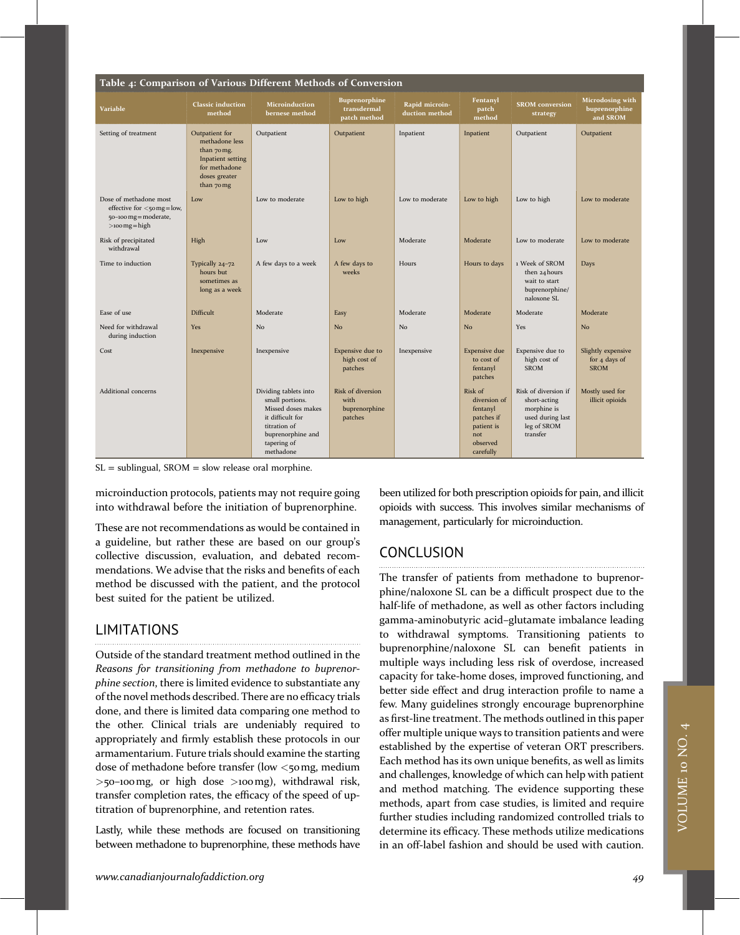| Table 4: Comparison of Various Different Methods of Conversion                                           |                                                                                                                      |                                                                                                                                                     |                                                       |                                  |                                                                                                 |                                                                                                    |                                                    |  |  |  |
|----------------------------------------------------------------------------------------------------------|----------------------------------------------------------------------------------------------------------------------|-----------------------------------------------------------------------------------------------------------------------------------------------------|-------------------------------------------------------|----------------------------------|-------------------------------------------------------------------------------------------------|----------------------------------------------------------------------------------------------------|----------------------------------------------------|--|--|--|
| <b>Variable</b>                                                                                          | <b>Classic induction</b><br>method                                                                                   | <b>Microinduction</b><br>bernese method                                                                                                             | Buprenorphine<br>transdermal<br>patch method          | Rapid microin-<br>duction method | Fentanyl<br>patch<br>method                                                                     | <b>SROM</b> conversion<br>strategy                                                                 | Microdosing with<br>buprenorphine<br>and SROM      |  |  |  |
| Setting of treatment                                                                                     | Outpatient for<br>methadone less<br>than 70 mg.<br>Inpatient setting<br>for methadone<br>doses greater<br>than 70 mg | Outpatient                                                                                                                                          | Outpatient                                            | Inpatient                        | Inpatient                                                                                       | Outpatient                                                                                         | Outpatient                                         |  |  |  |
| Dose of methadone most<br>effective for $\lt$ 50 mg = low,<br>50-100 mg = moderate,<br>$>$ 100 mg = high | Low                                                                                                                  | Low to moderate                                                                                                                                     | Low to high                                           | Low to moderate                  | Low to high                                                                                     | Low to high                                                                                        | Low to moderate                                    |  |  |  |
| Risk of precipitated<br>withdrawal                                                                       | High                                                                                                                 | Low                                                                                                                                                 | Low                                                   | Moderate                         | Moderate                                                                                        | Low to moderate                                                                                    | Low to moderate                                    |  |  |  |
| Time to induction                                                                                        | Typically 24-72<br>hours but<br>sometimes as<br>long as a week                                                       | A few days to a week                                                                                                                                | A few days to<br>weeks                                | Hours                            | Hours to days                                                                                   | 1 Week of SROM<br>then 24 hours<br>wait to start<br>buprenorphine/<br>naloxone SL                  | Days                                               |  |  |  |
| Ease of use                                                                                              | Difficult                                                                                                            | Moderate                                                                                                                                            | Easy                                                  | Moderate                         | Moderate                                                                                        | Moderate                                                                                           | Moderate                                           |  |  |  |
| Need for withdrawal<br>during induction                                                                  | Yes                                                                                                                  | N <sub>o</sub>                                                                                                                                      | N <sub>o</sub>                                        | No                               | N <sub>o</sub>                                                                                  | Yes                                                                                                | No                                                 |  |  |  |
| Cost                                                                                                     | Inexpensive                                                                                                          | Inexpensive                                                                                                                                         | Expensive due to<br>high cost of<br>patches           | Inexpensive                      | <b>Expensive</b> due<br>to cost of<br>fentanyl<br>patches                                       | Expensive due to<br>high cost of<br><b>SROM</b>                                                    | Slightly expensive<br>for 4 days of<br><b>SROM</b> |  |  |  |
| Additional concerns                                                                                      |                                                                                                                      | Dividing tablets into<br>small portions.<br>Missed doses makes<br>it difficult for<br>titration of<br>buprenorphine and<br>tapering of<br>methadone | Risk of diversion<br>with<br>buprenorphine<br>patches |                                  | Risk of<br>diversion of<br>fentanyl<br>patches if<br>patient is<br>not<br>observed<br>carefully | Risk of diversion if<br>short-acting<br>morphine is<br>used during last<br>leg of SROM<br>transfer | Mostly used for<br>illicit opioids                 |  |  |  |

 $SL =$  sublingual, SROM = slow release oral morphine.

microinduction protocols, patients may not require going into withdrawal before the initiation of buprenorphine.

These are not recommendations as would be contained in a guideline, but rather these are based on our group's collective discussion, evaluation, and debated recommendations. We advise that the risks and benefits of each method be discussed with the patient, and the protocol best suited for the patient be utilized.

### LIMITATIONS

Outside of the standard treatment method outlined in the Reasons for transitioning from methadone to buprenorphine section, there is limited evidence to substantiate any of the novel methods described. There are no efficacy trials done, and there is limited data comparing one method to the other. Clinical trials are undeniably required to appropriately and firmly establish these protocols in our armamentarium. Future trials should examine the starting dose of methadone before transfer (low <50 mg, medium  $>$ 50–100mg, or high dose  $>$ 100mg), withdrawal risk, transfer completion rates, the efficacy of the speed of uptitration of buprenorphine, and retention rates.

Lastly, while these methods are focused on transitioning between methadone to buprenorphine, these methods have been utilized for both prescription opioids for pain, and illicit opioids with success. This involves similar mechanisms of management, particularly for microinduction.

### CONCLUSION

The transfer of patients from methadone to buprenorphine/naloxone SL can be a difficult prospect due to the half-life of methadone, as well as other factors including gamma-aminobutyric acid–glutamate imbalance leading to withdrawal symptoms. Transitioning patients to buprenorphine/naloxone SL can benefit patients in multiple ways including less risk of overdose, increased capacity for take-home doses, improved functioning, and better side effect and drug interaction profile to name a few. Many guidelines strongly encourage buprenorphine as first-line treatment. The methods outlined in this paper offer multiple unique ways to transition patients and were established by the expertise of veteran ORT prescribers. Each method has its own unique benefits, as well as limits and challenges, knowledge of which can help with patient and method matching. The evidence supporting these methods, apart from case studies, is limited and require further studies including randomized controlled trials to determine its efficacy. These methods utilize medications in an off-label fashion and should be used with caution.